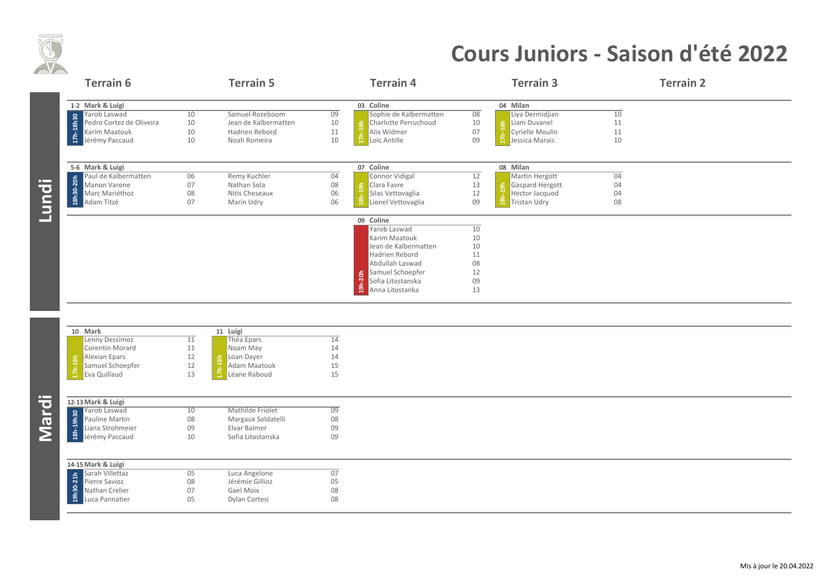

## **Cours Juniors ‐ Saison d'été 2022**

|              | <b>Terrain 6</b>            |    | <b>Terrain 5</b>          |                 | <b>Terrain 4</b>         |          | <b>Terrain 3</b>                | <b>Terrain 2</b> |  |
|--------------|-----------------------------|----|---------------------------|-----------------|--------------------------|----------|---------------------------------|------------------|--|
|              | 1-2 Mark & Luigi            |    |                           |                 | 03 Coline                |          | 04 Milan                        |                  |  |
|              | Yarob Laswad                | 10 | Samuel Rozeboom           | 09              | Sophie de Kalbermatten   | 08       | Liya Dermidjian                 | 10               |  |
|              | Pedro Cortez de Oliveira    | 10 | Jean de Kalbermatten      | 10              | Charlotte Perruchoud     | 10       | <mark>န္တ  </mark> Liam Duvanel | 11               |  |
|              | Karim Maatouk               | 10 | Hadrien Rebord            | 11              | $17h-18h$<br>Alix Widmer | 07       | Cyrielle Moulin                 | 11               |  |
|              | 17h-18h30<br>Jérémy Paccaud | 10 | Noah Romeira              | 10              | Loïc Antille             | 09       | Jessica Marais                  | 10               |  |
|              | 5-6 Mark & Luigi            |    |                           |                 | 07 Coline                |          | 08 Milan                        |                  |  |
|              | Paul de Kalbermatten        | 06 | Remy Kuchler              | 04              | Connor Vidigal           | 12       | Martin Hergott                  | 04               |  |
|              | Manon Varone                | 07 | Nathan Sola               | 08              | Clara Favre              | 13       | Gaspard Hergott                 | 04               |  |
|              | Marc Mariéthoz              | 08 | Nitis Cheseaux            | 06              | Silas Vettovaglia        | 12       | Hector Jacquod                  | 04               |  |
| <u>Lundi</u> | 18h30-20h<br>Adam Titzé     | 07 | Marin Udry                | 06              | Lionel Vettovaglia       | 09       | <b>Tristan Udry</b>             | 08               |  |
|              |                             |    |                           |                 | 09 Coline                |          |                                 |                  |  |
|              |                             |    |                           |                 | Yarob Laswad             | 10       |                                 |                  |  |
|              |                             |    |                           |                 | Karim Maatouk            | 10<br>10 |                                 |                  |  |
|              |                             |    |                           |                 | Jean de Kalbermatten     |          |                                 |                  |  |
|              |                             |    |                           |                 | Hadrien Rebord           | 11<br>08 |                                 |                  |  |
|              |                             |    |                           |                 | Abdullah Laswad          | 12       |                                 |                  |  |
|              |                             |    |                           |                 | Samuel Schoepfer         |          |                                 |                  |  |
|              |                             |    |                           |                 | Sofia Litostanska        | 09       |                                 |                  |  |
|              |                             |    |                           |                 | Anna Litostanka          | 13       |                                 |                  |  |
|              |                             |    |                           |                 |                          |          |                                 |                  |  |
|              | 10 Mark                     |    | 11 Luigi                  |                 |                          |          |                                 |                  |  |
|              | Lenny Dessimoz              | 11 | Théa Epars                | $\overline{14}$ |                          |          |                                 |                  |  |
|              | Corentin Morard             | 11 | Noam May                  | 14              |                          |          |                                 |                  |  |
|              | Alexian Epars               | 12 | Loan Dayer                | 14              |                          |          |                                 |                  |  |
|              | Samuel Schoepfer            | 12 | $17h-18h$<br>Adam Maatouk | 15              |                          |          |                                 |                  |  |
|              | Eva Quillaud                | 13 | Léane Raboud              | 15              |                          |          |                                 |                  |  |
|              |                             |    |                           |                 |                          |          |                                 |                  |  |
|              | 12-13 Mark & Luigi          |    |                           |                 |                          |          |                                 |                  |  |
|              | Yarob Laswad                | 10 | Mathilde Friolet          | $\overline{09}$ |                          |          |                                 |                  |  |
|              | Pauline Martin              | 08 | Margaux Soldatelli        | 08              |                          |          |                                 |                  |  |
|              | Liana Strohmeier            | 09 | Elvar Balmer              | 09              |                          |          |                                 |                  |  |
| <b>Mardi</b> | 18h-19h30<br>Jérémy Paccaud | 10 | Sofia Litostanska         | 09              |                          |          |                                 |                  |  |
|              | 14-15 Mark & Luigi          |    |                           |                 |                          |          |                                 |                  |  |
|              | Sarah Villettaz             | 05 | Luca Angelone             | 07              |                          |          |                                 |                  |  |
|              | Pierre Savioz               | 08 | Jérémie Gillioz           | 05              |                          |          |                                 |                  |  |
|              | 19h30-21h<br>Nathan Crelier | 07 | Gael Moix                 | 08              |                          |          |                                 |                  |  |
|              | Luca Pannatier              | 05 | Dylan Cortesi             | 08              |                          |          |                                 |                  |  |
|              |                             |    |                           |                 |                          |          |                                 |                  |  |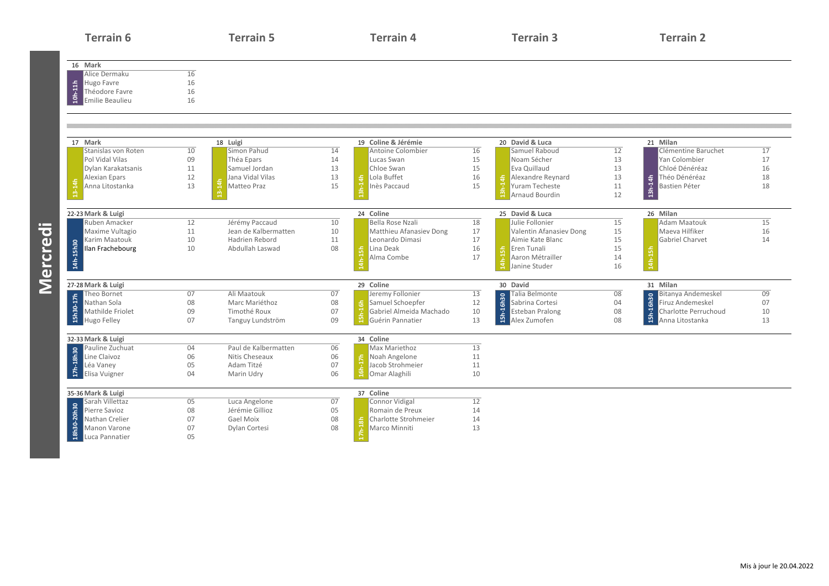| <b>Terrain 6</b>                                      |          | <b>Terrain 5</b>              |          | <b>Terrain 4</b>          |    | <b>Terrain 3</b>                  |                 | <b>Terrain 2</b>              |                 |
|-------------------------------------------------------|----------|-------------------------------|----------|---------------------------|----|-----------------------------------|-----------------|-------------------------------|-----------------|
| 16 Mark<br>Alice Dermaku                              | 16       |                               |          |                           |    |                                   |                 |                               |                 |
| Hugo Favre                                            | 16       |                               |          |                           |    |                                   |                 |                               |                 |
| $10h-11h$<br>Théodore Favre<br><b>Emilie Beaulieu</b> | 16<br>16 |                               |          |                           |    |                                   |                 |                               |                 |
|                                                       |          |                               |          |                           |    |                                   |                 |                               |                 |
| 17 Mark                                               |          | 18 Luigi                      |          | 19 Coline & Jérémie       |    | 20 David & Luca                   |                 | 21 Milan                      |                 |
| Stanislas von Roten                                   | 10       | Simon Pahud                   | 14       | Antoine Colombier         | 16 | Samuel Raboud                     | $\overline{12}$ | Clémentine Baruchet           | 17              |
| Pol Vidal Vilas                                       | 09       | Théa Epars                    | 14       | Lucas Swan                | 15 | Noam Sécher                       | 13              | Yan Colombier                 | 17              |
| Dylan Karakatsanis                                    | 11       | Samuel Jordan                 | 13       | Chloe Swan                | 15 | Eva Quillaud                      | 13              | Chloé Dénéréaz                | 16              |
| <b>Alexian Epars</b>                                  | 12       | Jana Vidal Vilas              | 13       | Lola Buffet<br>훜          | 16 | Alexandre Reynard                 | 13              | Théo Dénéréaz                 | 18              |
| Anna Litostanka                                       | 13       | $\frac{4}{14}$<br>Matteo Praz | 15       | Inès Paccaud              | 15 | Yuram Techeste                    | 11              | Bastien Péter                 | 18              |
|                                                       |          |                               |          |                           |    | Arnaud Bourdin                    | 12              | $13h-14h$                     |                 |
| 22-23 Mark & Luigi                                    |          |                               |          | 24 Coline                 |    | 25 David & Luca                   |                 | 26 Milan                      |                 |
| Ruben Amacker                                         | 12       | Jérémy Paccaud                | 10       | Bella Rose Nzali          | 18 | Julie Follonier                   | 15              | <b>Adam Maatouk</b>           | $\overline{15}$ |
| Maxime Vultagio                                       | 11       | Jean de Kalbermatten          | 10       | Matthieu Afanasiev Dong   | 17 | Valentin Afanasiev Dong           | 15              | Maeva Hilfiker                | 16              |
| Karim Maatouk                                         | 10       | Hadrien Rebord                | 11       | Leonardo Dimasi           | 17 | Aimie Kate Blanc                  | 15              | Gabriel Charvet               | 14              |
| Ilan Frachebourg                                      | 10       | Abdullah Laswad               | 08       | Lina Deak<br>흢            | 16 | Eren Tunali                       | 15              | 15h                           |                 |
| 14h-15h30                                             |          |                               |          | Alma Combe                | 17 | Aaron Métrailler<br>Janine Studer | 14<br>16        |                               |                 |
| 27-28 Mark & Luigi                                    |          |                               |          | 29 Coline                 |    | 30 David                          |                 | 31 Milan                      |                 |
| Theo Bornet                                           | 07       | Ali Maatouk                   | 07       | Jeremy Follonier          | 13 | Talia Belmonte                    | 08              | <b>Bitanya Andemeskel</b>     | 09              |
| 15h30-17h<br>Nathan Sola                              | 08       | Marc Mariéthoz                | 08       | Samuel Schoepfer          | 12 | 15h-16h30<br>Sabrina Cortesi      | 04              | 15h-16h30<br>Firuz Andemeskel | 07              |
| Mathilde Friolet                                      | 09       | Timothé Roux                  | 07       | Gabriel Almeida Machado   | 10 | <b>Esteban Pralong</b>            | 08              | Charlotte Perruchoud          | 10              |
| <b>Hugo Felley</b>                                    | 07       | Tanguy Lundström              | 09       | Guérin Pannatier          | 13 | Alex Zumofen                      | 08              | Anna Litostanka               | 13              |
| 32-33 Mark & Luigi                                    |          |                               |          | 34 Coline                 |    |                                   |                 |                               |                 |
| Pauline Zuchuat                                       | 04       | Paul de Kalbermatten          | 06       | Max Mariethoz             | 13 |                                   |                 |                               |                 |
| Line Claivoz                                          | 06       | Nitis Cheseaux                | 06       | ÷.<br>Noah Angelone       | 11 |                                   |                 |                               |                 |
| 17h-18h30<br>Léa Vaney                                | 05       | Adam Titzé                    | 07       | Jacob Strohmeier          | 11 |                                   |                 |                               |                 |
| Elisa Vuigner                                         | 04       | Marin Udry                    | 06       | Omar Alaghili             | 10 |                                   |                 |                               |                 |
| 35-36 Mark & Luigi                                    |          |                               |          | 37 Coline                 |    |                                   |                 |                               |                 |
| Sarah Villettaz                                       | 05       | Luca Angelone                 | 07       | Connor Vidigal            | 12 |                                   |                 |                               |                 |
| 18h30-20h30<br>Pierre Savioz                          | 08       | Jérémie Gillioz               | 05       | Romain de Preux           | 14 |                                   |                 |                               |                 |
| Nathan Crelier                                        | 07       | Gael Moix                     | 08<br>08 | Charlotte Strohmeier<br>훘 | 14 |                                   |                 |                               |                 |
| Manon Varone                                          | 07<br>05 | Dylan Cortesi                 |          | Marco Minniti             | 13 |                                   |                 |                               |                 |
| Luca Pannatier                                        |          |                               |          |                           |    |                                   |                 |                               |                 |

**Mercredi**

Mercredi